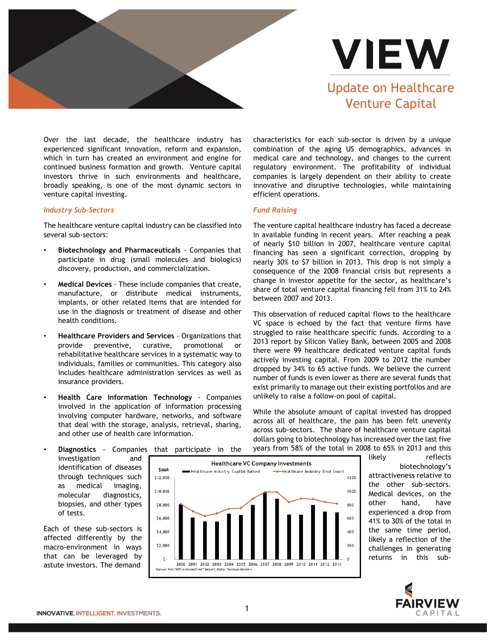



Over the last decade, the healthcare industry has experienced significant innovation, reform and expansion, which in turn has created an environment and engine for continued business formation and growth. Venture capital investors thrive in such environments and healthcare, broadly speaking, is one of the most dynamic sectors in venture capital investing.

## *Industry Sub-Sectors*

The healthcare venture capital industry can be classified into several sub-sectors:

- **Biotechnology and Pharmaceuticals** Companies that participate in drug (small molecules and biologics) discovery, production, and commercialization.
- **Medical Devices** These include companies that create, manufacture, or distribute medical instruments, implants, or other related items that are intended for use in the diagnosis or treatment of disease and other health conditions.
- **Healthcare Providers and Services** Organizations that provide preventive, curative, promotional rehabilitative healthcare services in a systematic way to individuals, families or communities. This category also includes healthcare administration services as well as insurance providers.
- **Health Care Information Technology** Companies involved in the application of information processing involving computer hardware, networks, and software that deal with the storage, analysis, retrieval, sharing, and other use of health care information.

characteristics for each sub-sector is driven by a unique combination of the aging US demographics, advances in medical care and technology, and changes to the current regulatory environment. The profitability of individual companies is largely dependent on their ability to create innovative and disruptive technologies, while maintaining efficient operations.

## *Fund Raising*

The venture capital healthcare industry has faced a decrease in available funding in recent years. After reaching a peak of nearly \$10 billion in 2007, healthcare venture capital financing has seen a significant correction, dropping by nearly 30% to \$7 billion in 2013. This drop is not simply a consequence of the 2008 financial crisis but represents a change in investor appetite for the sector, as healthcare's share of total venture capital financing fell from 31% to 24% between 2007 and 2013.

This observation of reduced capital flows to the healthcare VC space is echoed by the fact that venture firms have struggled to raise healthcare specific funds. According to a 2013 report by Silicon Valley Bank, between 2005 and 2008 there were 99 healthcare dedicated venture capital funds actively investing capital. From 2009 to 2012 the number dropped by 34% to 65 active funds. We believe the current number of funds is even lower as there are several funds that exist primarily to manage out their existing portfolios and are unlikely to raise a follow-on pool of capital.

While the absolute amount of capital invested has dropped across all of healthcare, the pain has been felt unevenly across sub-sectors. The share of healthcare venture capital dollars going to biotechnology has increased over the last five years from 58% of the total in 2008 to 65% in 2013 and this

• **Diagnostics** - Companies that participate in the investigation and identification of diseases through techniques such as medical imaging, molecular diagnostics, biopsies, and other types of tests.

Each of these sub-sectors is affected differently by the macro-environment in ways that can be leveraged by astute investors. The demand



likely reflects biotechnology's attractiveness relative to the other sub-sectors. Medical devices, on the other hand, have experienced a drop from 41% to 30% of the total in the same time period, likely a reflection of the challenges in generating returns in this sub-



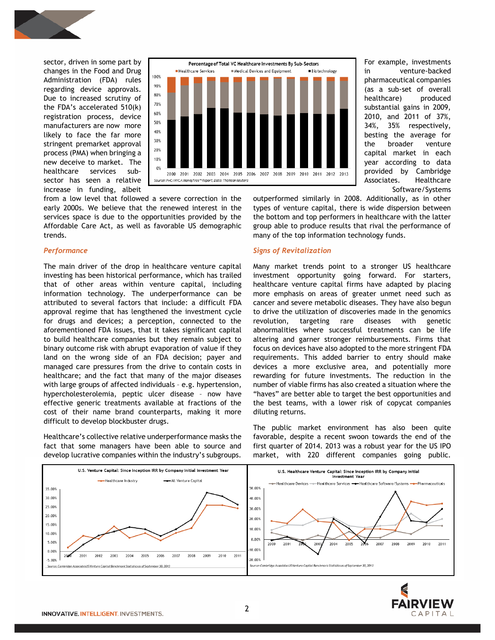

sector, driven in some part by changes in the Food and Drug Administration (FDA) rules regarding device approvals. Due to increased scrutiny of the FDA's accelerated 510(k) registration process, device manufacturers are now more likely to face the far more stringent premarket approval process (PMA) when bringing a new deceive to market. The healthcare services subsector has seen a relative increase in funding, albeit



from a low level that followed a severe correction in the early 2000s. We believe that the renewed interest in the services space is due to the opportunities provided by the Affordable Care Act, as well as favorable US demographic trends.

## *Performance*

The main driver of the drop in healthcare venture capital investing has been historical performance, which has trailed that of other areas within venture capital, including information technology. The underperformance can be attributed to several factors that include: a difficult FDA approval regime that has lengthened the investment cycle for drugs and devices; a perception, connected to the aforementioned FDA issues, that it takes significant capital to build healthcare companies but they remain subject to binary outcome risk with abrupt evaporation of value if they land on the wrong side of an FDA decision; payer and managed care pressures from the drive to contain costs in healthcare; and the fact that many of the major diseases with large groups of affected individuals – e.g. hypertension, hypercholesterolemia, peptic ulcer disease – now have effective generic treatments available at fractions of the cost of their name brand counterparts, making it more difficult to develop blockbuster drugs.

Healthcare's collective relative underperformance masks the fact that some managers have been able to source and develop lucrative companies within the industry's subgroups.

Software/Systems outperformed similarly in 2008. Additionally, as in other types of venture capital, there is wide dispersion between the bottom and top performers in healthcare with the latter group able to produce results that rival the performance of many of the top information technology funds.

For example, investments in venture-backed pharmaceutical companies (as a sub-set of overall healthcare) produced substantial gains in 2009, 2010, and 2011 of 37%, 34%, 35% respectively, besting the average for the broader venture capital market in each year according to data provided by Cambridge Associates. Healthcare

#### *Signs of Revitalization*

Many market trends point to a stronger US healthcare investment opportunity going forward. For starters, healthcare venture capital firms have adapted by placing more emphasis on areas of greater unmet need such as cancer and severe metabolic diseases. They have also begun to drive the utilization of discoveries made in the genomics revolution, targeting rare diseases with genetic abnormalities where successful treatments can be life altering and garner stronger reimbursements. Firms that focus on devices have also adopted to the more stringent FDA requirements. This added barrier to entry should make devices a more exclusive area, and potentially more rewarding for future investments. The reduction in the number of viable firms has also created a situation where the "haves" are better able to target the best opportunities and the best teams, with a lower risk of copycat companies diluting returns.

The public market environment has also been quite favorable, despite a recent swoon towards the end of the first quarter of 2014. 2013 was a robust year for the US IPO market, with 220 different companies going public.



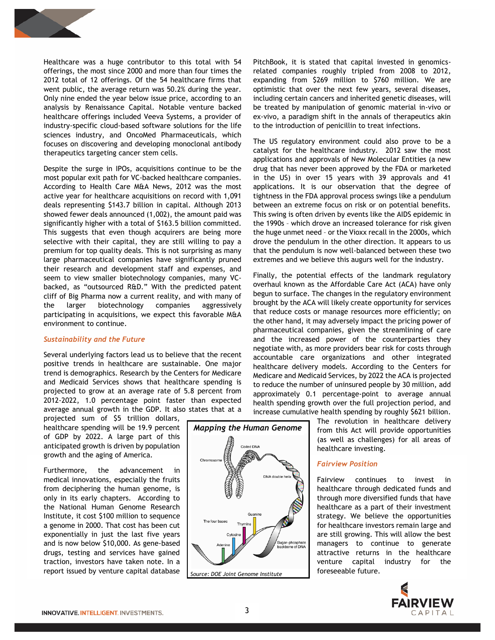

Healthcare was a huge contributor to this total with 54 offerings, the most since 2000 and more than four times the 2012 total of 12 offerings. Of the 54 healthcare firms that went public, the average return was 50.2% during the year. Only nine ended the year below issue price, according to an analysis by Renaissance Capital. Notable venture backed healthcare offerings included Veeva Systems, a provider of industry-specific cloud-based software solutions for the life sciences industry, and OncoMed Pharmaceuticals, which focuses on discovering and developing monoclonal antibody therapeutics targeting cancer stem cells.

Despite the surge in IPOs, acquisitions continue to be the most popular exit path for VC-backed healthcare companies. According to Health Care M&A News, 2012 was the most active year for healthcare acquisitions on record with 1,091 deals representing \$143.7 billion in capital. Although 2013 showed fewer deals announced (1,002), the amount paid was significantly higher with a total of \$163.5 billion committed. This suggests that even though acquirers are being more selective with their capital, they are still willing to pay a premium for top quality deals. This is not surprising as many large pharmaceutical companies have significantly pruned their research and development staff and expenses, and seem to view smaller biotechnology companies, many VCbacked, as "outsourced R&D." With the predicted patent cliff of Big Pharma now a current reality, and with many of the larger biotechnology companies aggressively participating in acquisitions, we expect this favorable M&A environment to continue.

## *Sustainability and the Future*

Several underlying factors lead us to believe that the recent positive trends in healthcare are sustainable. One major trend is demographics. Research by the Centers for Medicare and Medicaid Services shows that healthcare spending is projected to grow at an average rate of 5.8 percent from 2012-2022, 1.0 percentage point faster than expected average annual growth in the GDP. It also states that at a

projected sum of \$5 trillion dollars, healthcare spending will be 19.9 percent of GDP by 2022. A large part of this anticipated growth is driven by population growth and the aging of America.

Furthermore, the advancement in medical innovations, especially the fruits from deciphering the human genome, is only in its early chapters. According to the National Human Genome Research Institute, it cost \$100 million to sequence a genome in 2000. That cost has been cut exponentially in just the last five years and is now below \$10,000. As gene-based drugs, testing and services have gained traction, investors have taken note. In a report issued by venture capital database

PitchBook, it is stated that capital invested in genomicsrelated companies roughly tripled from 2008 to 2012, expanding from \$269 million to \$760 million. We are optimistic that over the next few years, several diseases, including certain cancers and inherited genetic diseases, will be treated by manipulation of genomic material in-vivo or ex-vivo, a paradigm shift in the annals of therapeutics akin to the introduction of penicillin to treat infections.

The US regulatory environment could also prove to be a catalyst for the healthcare industry. 2012 saw the most applications and approvals of New Molecular Entities (a new drug that has never been approved by the FDA or marketed in the US) in over 15 years with 39 approvals and 41 applications. It is our observation that the degree of tightness in the FDA approval process swings like a pendulum between an extreme focus on risk or on potential benefits. This swing is often driven by events like the AIDS epidemic in the 1990s – which drove an increased tolerance for risk given the huge unmet need – or the Vioxx recall in the 2000s, which drove the pendulum in the other direction. It appears to us that the pendulum is now well-balanced between these two extremes and we believe this augurs well for the industry.

Finally, the potential effects of the landmark regulatory overhaul known as the Affordable Care Act (ACA) have only begun to surface. The changes in the regulatory environment brought by the ACA will likely create opportunity for services that reduce costs or manage resources more efficiently; on the other hand, it may adversely impact the pricing power of pharmaceutical companies, given the streamlining of care and the increased power of the counterparties they negotiate with, as more providers bear risk for costs through accountable care organizations and other integrated healthcare delivery models. According to the Centers for Medicare and Medicaid Services, by 2022 the ACA is projected to reduce the number of uninsured people by 30 million, add approximately 0.1 percentage-point to average annual health spending growth over the full projection period, and increase cumulative health spending by roughly \$621 billion.



The revolution in healthcare delivery from this Act will provide opportunities (as well as challenges) for all areas of healthcare investing.

# *Fairview Position*

Fairview continues to invest in healthcare through dedicated funds and through more diversified funds that have healthcare as a part of their investment strategy. We believe the opportunities for healthcare investors remain large and are still growing. This will allow the best managers to continue to generate attractive returns in the healthcare venture capital industry for the